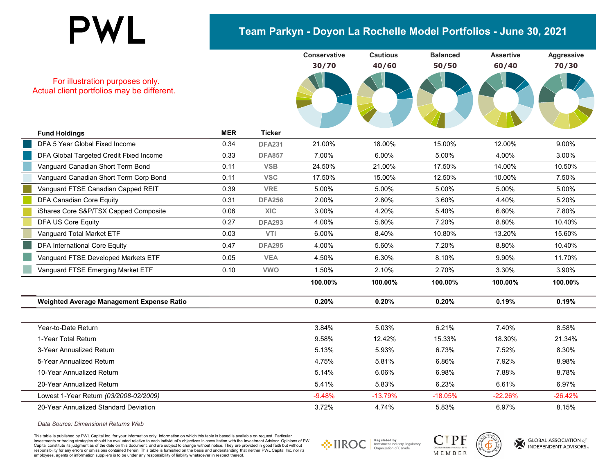### **Team Parkyn - Doyon La Rochelle Model Portfolios - June 30, 2021**



For illustration purposes only. Actual client portfolios may be different.

| <b>Fund Holdings</b>                      | <b>MER</b> | <b>Ticker</b> |          |           |           |           |           |
|-------------------------------------------|------------|---------------|----------|-----------|-----------|-----------|-----------|
| DFA 5 Year Global Fixed Income            | 0.34       | <b>DFA231</b> | 21.00%   | 18.00%    | 15.00%    | 12.00%    | 9.00%     |
| DFA Global Targeted Credit Fixed Income   | 0.33       | <b>DFA857</b> | 7.00%    | 6.00%     | 5.00%     | 4.00%     | 3.00%     |
| Vanguard Canadian Short Term Bond         | 0.11       | <b>VSB</b>    | 24.50%   | 21.00%    | 17.50%    | 14.00%    | 10.50%    |
| Vanguard Canadian Short Term Corp Bond    | 0.11       | <b>VSC</b>    | 17.50%   | 15.00%    | 12.50%    | 10.00%    | 7.50%     |
| Vanguard FTSE Canadian Capped REIT        | 0.39       | <b>VRE</b>    | 5.00%    | 5.00%     | 5.00%     | 5.00%     | 5.00%     |
| DFA Canadian Core Equity                  | 0.31       | <b>DFA256</b> | 2.00%    | 2.80%     | 3.60%     | 4.40%     | 5.20%     |
| iShares Core S&P/TSX Capped Composite     | 0.06       | <b>XIC</b>    | 3.00%    | 4.20%     | 5.40%     | 6.60%     | 7.80%     |
| <b>DFA US Core Equity</b>                 | 0.27       | <b>DFA293</b> | 4.00%    | 5.60%     | 7.20%     | 8.80%     | 10.40%    |
| Vanguard Total Market ETF                 | 0.03       | <b>VTI</b>    | 6.00%    | 8.40%     | 10.80%    | 13.20%    | 15.60%    |
| <b>DFA International Core Equity</b>      | 0.47       | <b>DFA295</b> | 4.00%    | 5.60%     | 7.20%     | 8.80%     | 10.40%    |
| Vanguard FTSE Developed Markets ETF       | 0.05       | <b>VEA</b>    | 4.50%    | 6.30%     | 8.10%     | 9.90%     | 11.70%    |
| Vanguard FTSE Emerging Market ETF         | 0.10       | <b>VWO</b>    | 1.50%    | 2.10%     | 2.70%     | 3.30%     | 3.90%     |
|                                           |            |               | 100.00%  | 100.00%   | 100.00%   | 100.00%   | 100.00%   |
| Weighted Average Management Expense Ratio |            |               | 0.20%    | 0.20%     | 0.20%     | 0.19%     | 0.19%     |
|                                           |            |               |          |           |           |           |           |
| Year-to-Date Return                       |            |               | 3.84%    | 5.03%     | 6.21%     | 7.40%     | 8.58%     |
| 1-Year Total Return                       |            |               | 9.58%    | 12.42%    | 15.33%    | 18.30%    | 21.34%    |
| 3-Year Annualized Return                  |            |               | 5.13%    | 5.93%     | 6.73%     | 7.52%     | 8.30%     |
| 5-Year Annualized Return                  |            |               | 4.75%    | 5.81%     | 6.86%     | 7.92%     | 8.98%     |
| 10-Year Annualized Return                 |            |               | 5.14%    | 6.06%     | 6.98%     | 7.88%     | 8.78%     |
| 20-Year Annualized Return                 |            |               | 5.41%    | 5.83%     | 6.23%     | 6.61%     | 6.97%     |
| Lowest 1-Year Return (03/2008-02/2009)    |            |               | $-9.48%$ | $-13.79%$ | $-18.05%$ | $-22.26%$ | $-26.42%$ |
| 20-Year Annualized Standard Deviation     |            |               | 3.72%    | 4.74%     | 5.83%     | 6.97%     | 8.15%     |
|                                           |            |               |          |           |           |           |           |

*Data Source: Dimensional Returns Web*

This table is published by PWL Capital Inc. for your information only. Information on which this table is based is available on request. Particular investments or trading strategies should be evaluated relative to each individual's objectives in consultation with the Investment Advisor. Opinions of PWL Capital constitute its judgment as of the date on this document, and are subject to change without notice. They are provided in good faith but without responsibility for any errors or omissions contained herein. This table is furnished on the basis and understanding that neither PWL Capital Inc. nor its employees, agents or information suppliers is to be under any responsibility of liability whatsoever in respect thereof.